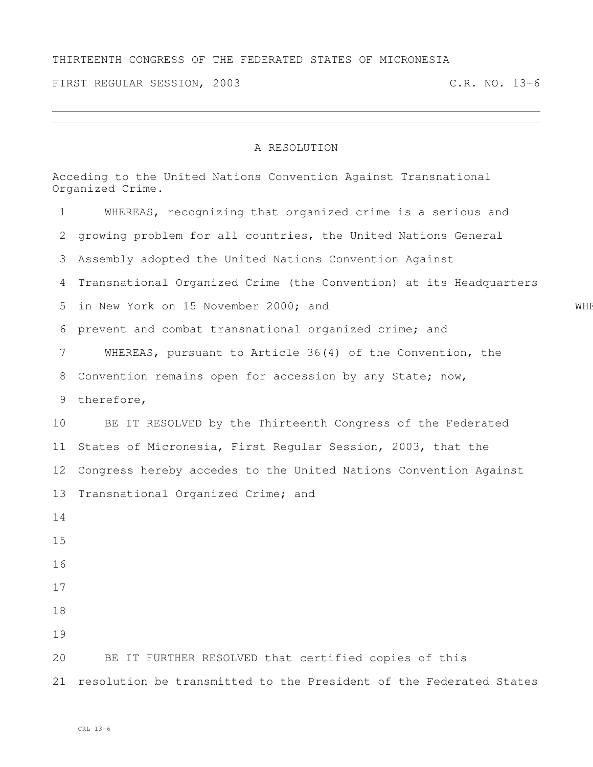## THIRTEENTH CONGRESS OF THE FEDERATED STATES OF MICRONESIA

FIRST REGULAR SESSION, 2003 C.R. NO. 13-6

## A RESOLUTION

|    | Acceding to the United Nations Convention Against Transnational<br>Organized Crime. |     |  |  |
|----|-------------------------------------------------------------------------------------|-----|--|--|
| 1  | WHEREAS, recognizing that organized crime is a serious and                          |     |  |  |
| 2  | growing problem for all countries, the United Nations General                       |     |  |  |
| 3  | Assembly adopted the United Nations Convention Against                              |     |  |  |
| 4  | Transnational Organized Crime (the Convention) at its Headquarters                  |     |  |  |
| 5  | in New York on 15 November 2000; and                                                | WHE |  |  |
|    | 6 prevent and combat transnational organized crime; and                             |     |  |  |
| 7  | WHEREAS, pursuant to Article 36(4) of the Convention, the                           |     |  |  |
| 8  | Convention remains open for accession by any State; now,                            |     |  |  |
| 9  | therefore,                                                                          |     |  |  |
| 10 | BE IT RESOLVED by the Thirteenth Congress of the Federated                          |     |  |  |
| 11 | States of Micronesia, First Regular Session, 2003, that the                         |     |  |  |
| 12 | Congress hereby accedes to the United Nations Convention Against                    |     |  |  |
| 13 | Transnational Organized Crime; and                                                  |     |  |  |
| 14 |                                                                                     |     |  |  |
| 15 |                                                                                     |     |  |  |
| 16 |                                                                                     |     |  |  |
| 17 |                                                                                     |     |  |  |
| 18 |                                                                                     |     |  |  |
| 19 |                                                                                     |     |  |  |
| 20 | BE IT FURTHER RESOLVED that certified copies of this                                |     |  |  |
| 21 | resolution be transmitted to the President of the Federated States                  |     |  |  |